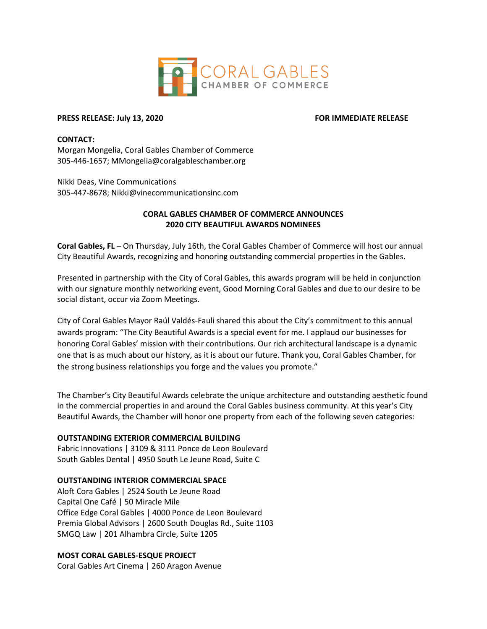

# **PRESS RELEASE: July 13, 2020 FOR IMMEDIATE RELEASE**

### **CONTACT:**

Morgan Mongelia, Coral Gables Chamber of Commerce 305-446-1657; MMongelia@coralgableschamber.org

Nikki Deas, Vine Communications 305-447-8678; Nikki@vinecommunicationsinc.com

# **CORAL GABLES CHAMBER OF COMMERCE ANNOUNCES 2020 CITY BEAUTIFUL AWARDS NOMINEES**

**Coral Gables, FL** – On Thursday, July 16th, the Coral Gables Chamber of Commerce will host our annual City Beautiful Awards, recognizing and honoring outstanding commercial properties in the Gables.

Presented in partnership with the City of Coral Gables, this awards program will be held in conjunction with our signature monthly networking event, Good Morning Coral Gables and due to our desire to be social distant, occur via Zoom Meetings.

City of Coral Gables Mayor Raúl Valdés-Fauli shared this about the City's commitment to this annual awards program: "The City Beautiful Awards is a special event for me. I applaud our businesses for honoring Coral Gables' mission with their contributions. Our rich architectural landscape is a dynamic one that is as much about our history, as it is about our future. Thank you, Coral Gables Chamber, for the strong business relationships you forge and the values you promote."

The Chamber's City Beautiful Awards celebrate the unique architecture and outstanding aesthetic found in the commercial properties in and around the Coral Gables business community. At this year's City Beautiful Awards, the Chamber will honor one property from each of the following seven categories:

# **OUTSTANDING EXTERIOR COMMERCIAL BUILDING**

Fabric Innovations | 3109 & 3111 Ponce de Leon Boulevard South Gables Dental | 4950 South Le Jeune Road, Suite C

# **OUTSTANDING INTERIOR COMMERCIAL SPACE**

Aloft Cora Gables | 2524 South Le Jeune Road Capital One Café | 50 Miracle Mile Office Edge Coral Gables | 4000 Ponce de Leon Boulevard Premia Global Advisors | 2600 South Douglas Rd., Suite 1103 SMGQ Law | 201 Alhambra Circle, Suite 1205

# **MOST CORAL GABLES-ESQUE PROJECT**

Coral Gables Art Cinema | 260 Aragon Avenue